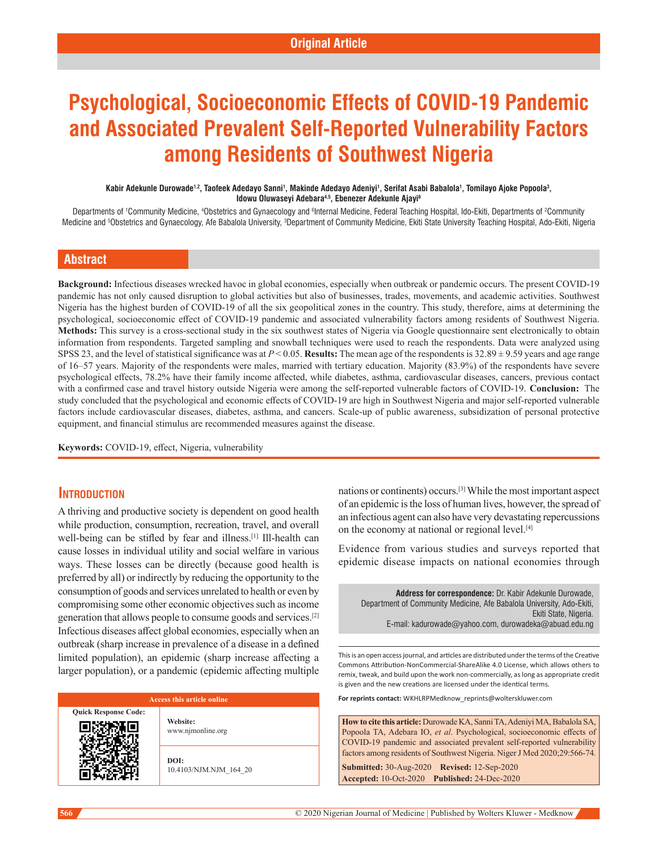# **Psychological, Socioeconomic Effects of COVID-19 Pandemic and Associated Prevalent Self-Reported Vulnerability Factors among Residents of Southwest Nigeria**

#### Kabir Adekunle Durowade<sup>1,2</sup>, Taofeek Adedayo Sanni<sup>1</sup>, Makinde Adedayo Adeniyi<sup>1</sup>, Serifat Asabi Babalola<sup>1</sup>, Tomilayo Ajoke Popoola<sup>3</sup>, **Idowu Oluwaseyi Adebara4,5, Ebenezer Adekunle Ajayi6**

Departments of †Community Medicine, <sup>4</sup>Obstetrics and Gynaecology and <sup>s</sup>Internal Medicine, Federal Teaching Hospital, Ido-Ekiti, Departments of <sup>2</sup>Community Medicine and <sup>s</sup>Obstetrics and Gynaecology, Afe Babalola University, <sup>s</sup>Department of Community Medicine, Ekiti State University Teaching Hospital, Ado-Ekiti, Nigeria

# **Abstract**

Background: Infectious diseases wrecked havoc in global economies, especially when outbreak or pandemic occurs. The present COVID-19 pandemic has not only caused disruption to global activities but also of businesses, trades, movements, and academic activities. Southwest Nigeria has the highest burden of COVID-19 of all the six geopolitical zones in the country. This study, therefore, aims at determining the psychological, socioeconomic effect of COVID-19 pandemic and associated vulnerability factors among residents of Southwest Nigeria. Methods: This survey is a cross-sectional study in the six southwest states of Nigeria via Google questionnaire sent electronically to obtain information from respondents. Targeted sampling and snowball techniques were used to reach the respondents. Data were analyzed using SPSS 23, and the level of statistical significance was at  $P < 0.05$ . **Results:** The mean age of the respondents is  $32.89 \pm 9.59$  years and age range of 16–57 years. Majority of the respondents were males, married with tertiary education. Majority (83.9%) of the respondents have severe psychological effects, 78.2% have their family income affected, while diabetes, asthma, cardiovascular diseases, cancers, previous contact with a confirmed case and travel history outside Nigeria were among the self-reported vulnerable factors of COVID-19. Conclusion: The study concluded that the psychological and economic effects of COVID-19 are high in Southwest Nigeria and major self-reported vulnerable factors include cardiovascular diseases, diabetes, asthma, and cancers. Scale-up of public awareness, subsidization of personal protective equipment, and financial stimulus are recommended measures against the disease.

**Keywords:** COVID‑19, effect, Nigeria, vulnerability

# **Introduction**

A thriving and productive society is dependent on good health while production, consumption, recreation, travel, and overall well-being can be stifled by fear and illness.<sup>[1]</sup> Ill-health can cause losses in individual utility and social welfare in various ways. These losses can be directly (because good health is preferred by all) or indirectly by reducing the opportunity to the consumption of goods and services unrelated to health or even by compromising some other economic objectives such as income generation that allows people to consume goods and services.[2] Infectious diseases affect global economies, especially when an outbreak (sharp increase in prevalence of a disease in a defined limited population), an epidemic (sharp increase affecting a larger population), or a pandemic (epidemic affecting multiple

#### **Access this article online**

**Quick Response Code: Website:** www.njmonline.org

> **DOI:** 10.4103/NJM.NJM\_164\_20

nations or continents) occurs.[3] While the most important aspect of an epidemic is the loss of human lives, however, the spread of an infectious agent can also have very devastating repercussions on the economy at national or regional level.[4]

Evidence from various studies and surveys reported that epidemic disease impacts on national economies through

**Address for correspondence:** Dr. Kabir Adekunle Durowade, Department of Community Medicine, Afe Babalola University, Ado-Ekiti, Ekiti State, Nigeria. E-mail: kadurowade@yahoo.com, durowadeka@abuad.edu.ng

This is an open access journal, and articles are distributed under the terms of the Creative Commons Attribution‑NonCommercial‑ShareAlike 4.0 License, which allows others to remix, tweak, and build upon the work non‑commercially, as long as appropriate credit is given and the new creations are licensed under the identical terms.

**For reprints contact:** WKHLRPMedknow\_reprints@wolterskluwer.com

**How to cite this article:** Durowade KA, Sanni TA, Adeniyi MA, Babalola SA, Popoola TA, Adebara IO, *et al*. Psychological, socioeconomic effects of COVID-19 pandemic and associated prevalent self-reported vulnerability factors among residents of Southwest Nigeria. Niger J Med 2020;29:566-74.

**Submitted:** 30-Aug-2020 **Revised:** 12‑Sep‑2020 **Accepted:** 10-Oct-2020 **Published:** 24-Dec-2020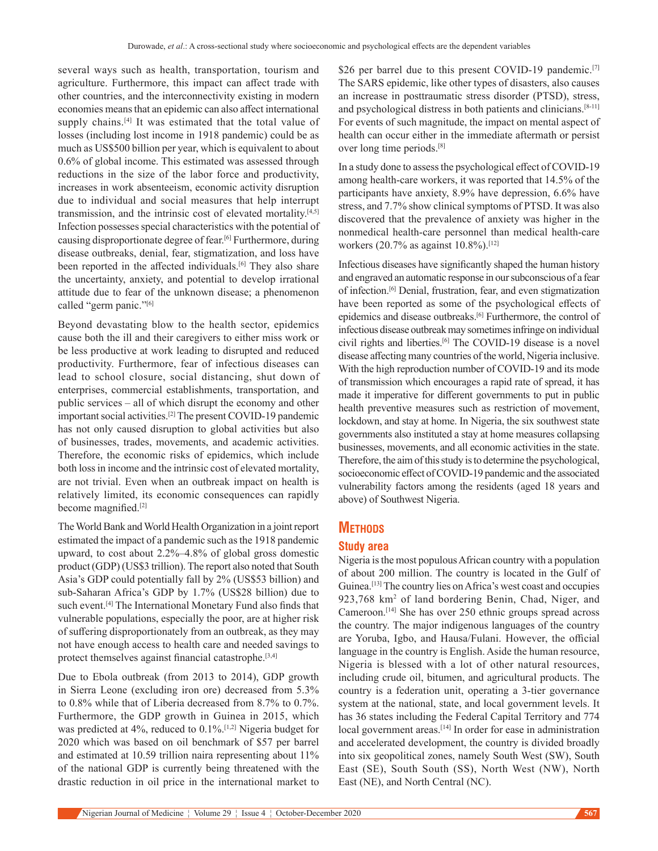several ways such as health, transportation, tourism and agriculture. Furthermore, this impact can affect trade with other countries, and the interconnectivity existing in modern economies means that an epidemic can also affect international supply chains.<sup>[4]</sup> It was estimated that the total value of losses (including lost income in 1918 pandemic) could be as much as US\$500 billion per year, which is equivalent to about 0.6% of global income. This estimated was assessed through reductions in the size of the labor force and productivity, increases in work absenteeism, economic activity disruption due to individual and social measures that help interrupt transmission, and the intrinsic cost of elevated mortality.[4,5] Infection possesses special characteristics with the potential of causing disproportionate degree of fear.[6] Furthermore, during disease outbreaks, denial, fear, stigmatization, and loss have been reported in the affected individuals.<sup>[6]</sup> They also share the uncertainty, anxiety, and potential to develop irrational attitude due to fear of the unknown disease; a phenomenon called "germ panic."[6]

Beyond devastating blow to the health sector, epidemics cause both the ill and their caregivers to either miss work or be less productive at work leading to disrupted and reduced productivity. Furthermore, fear of infectious diseases can lead to school closure, social distancing, shut down of enterprises, commercial establishments, transportation, and public services – all of which disrupt the economy and other important social activities.<sup>[2]</sup> The present COVID-19 pandemic has not only caused disruption to global activities but also of businesses, trades, movements, and academic activities. Therefore, the economic risks of epidemics, which include both loss in income and the intrinsic cost of elevated mortality, are not trivial. Even when an outbreak impact on health is relatively limited, its economic consequences can rapidly become magnified.[2]

The World Bank and World Health Organization in a joint report estimated the impact of a pandemic such as the 1918 pandemic upward, to cost about 2.2%–4.8% of global gross domestic product (GDP) (US\$3 trillion). The report also noted that South Asia's GDP could potentially fall by 2% (US\$53 billion) and sub‑Saharan Africa's GDP by 1.7% (US\$28 billion) due to such event.<sup>[4]</sup> The International Monetary Fund also finds that vulnerable populations, especially the poor, are at higher risk of suffering disproportionately from an outbreak, as they may not have enough access to health care and needed savings to protect themselves against financial catastrophe.<sup>[3,4]</sup>

Due to Ebola outbreak (from 2013 to 2014), GDP growth in Sierra Leone (excluding iron ore) decreased from 5.3% to 0.8% while that of Liberia decreased from 8.7% to 0.7%. Furthermore, the GDP growth in Guinea in 2015, which was predicted at 4%, reduced to 0.1%.[1,2] Nigeria budget for 2020 which was based on oil benchmark of \$57 per barrel and estimated at 10.59 trillion naira representing about 11% of the national GDP is currently being threatened with the drastic reduction in oil price in the international market to \$26 per barrel due to this present COVID-19 pandemic.<sup>[7]</sup> The SARS epidemic, like other types of disasters, also causes an increase in posttraumatic stress disorder (PTSD), stress, and psychological distress in both patients and clinicians.<sup>[8-11]</sup> For events of such magnitude, the impact on mental aspect of health can occur either in the immediate aftermath or persist over long time periods.[8]

In a study done to assess the psychological effect of COVID-19 among health-care workers, it was reported that 14.5% of the participants have anxiety, 8.9% have depression, 6.6% have stress, and 7.7% show clinical symptoms of PTSD. It was also discovered that the prevalence of anxiety was higher in the nonmedical health-care personnel than medical health-care workers (20.7% as against 10.8%).<sup>[12]</sup>

Infectious diseases have significantly shaped the human history and engraved an automatic response in our subconscious of a fear of infection.[6] Denial, frustration, fear, and even stigmatization have been reported as some of the psychological effects of epidemics and disease outbreaks.[6] Furthermore, the control of infectious disease outbreak may sometimes infringe on individual civil rights and liberties.[6] The COVID-19 disease is a novel disease affecting many countries of the world, Nigeria inclusive. With the high reproduction number of COVID-19 and its mode of transmission which encourages a rapid rate of spread, it has made it imperative for different governments to put in public health preventive measures such as restriction of movement, lockdown, and stay at home. In Nigeria, the six southwest state governments also instituted a stay at home measures collapsing businesses, movements, and all economic activities in the state. Therefore, the aim of this study is to determine the psychological, socioeconomic effect of COVID-19 pandemic and the associated vulnerability factors among the residents (aged 18 years and above) of Southwest Nigeria.

# **Methods**

# **Study area**

Nigeria is the most populous African country with a population of about 200 million. The country is located in the Gulf of Guinea.[13] The country lies on Africa's west coast and occupies 923,768 km<sup>2</sup> of land bordering Benin, Chad, Niger, and Cameroon.[14] She has over 250 ethnic groups spread across the country. The major indigenous languages of the country are Yoruba, Igbo, and Hausa/Fulani. However, the official language in the country is English. Aside the human resource, Nigeria is blessed with a lot of other natural resources, including crude oil, bitumen, and agricultural products. The country is a federation unit, operating a 3‑tier governance system at the national, state, and local government levels. It has 36 states including the Federal Capital Territory and 774 local government areas.<sup>[14]</sup> In order for ease in administration and accelerated development, the country is divided broadly into six geopolitical zones, namely South West (SW), South East (SE), South South (SS), North West (NW), North East (NE), and North Central (NC).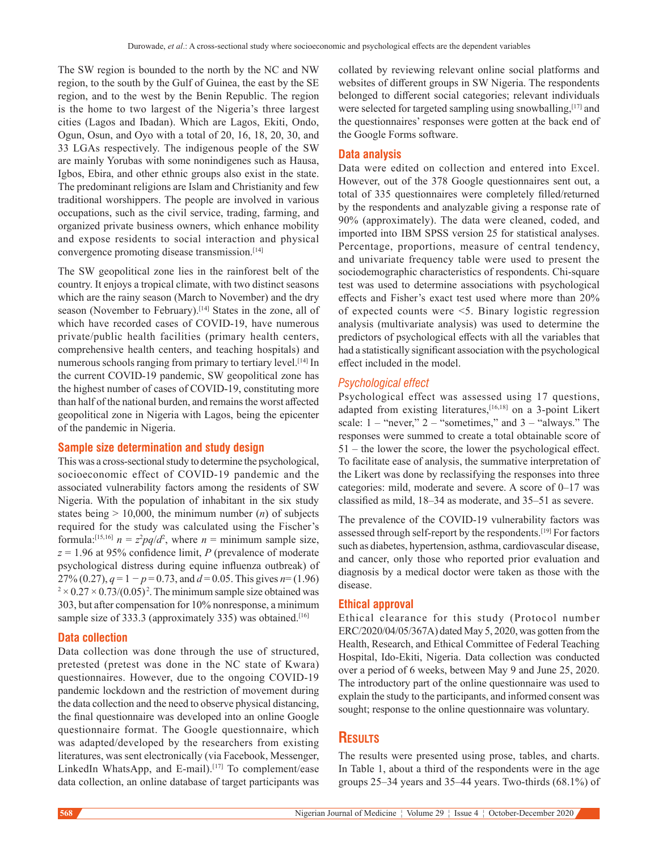The SW region is bounded to the north by the NC and NW region, to the south by the Gulf of Guinea, the east by the SE region, and to the west by the Benin Republic. The region is the home to two largest of the Nigeria's three largest cities (Lagos and Ibadan). Which are Lagos, Ekiti, Ondo, Ogun, Osun, and Oyo with a total of 20, 16, 18, 20, 30, and 33 LGAs respectively. The indigenous people of the SW are mainly Yorubas with some nonindigenes such as Hausa, Igbos, Ebira, and other ethnic groups also exist in the state. The predominant religions are Islam and Christianity and few traditional worshippers. The people are involved in various occupations, such as the civil service, trading, farming, and organized private business owners, which enhance mobility and expose residents to social interaction and physical convergence promoting disease transmission.<sup>[14]</sup>

The SW geopolitical zone lies in the rainforest belt of the country. It enjoys a tropical climate, with two distinct seasons which are the rainy season (March to November) and the dry season (November to February).<sup>[14]</sup> States in the zone, all of which have recorded cases of COVID-19, have numerous private/public health facilities (primary health centers, comprehensive health centers, and teaching hospitals) and numerous schools ranging from primary to tertiary level.<sup>[14]</sup> In the current COVID-19 pandemic, SW geopolitical zone has the highest number of cases of COVID-19, constituting more than half of the national burden, and remains the worst affected geopolitical zone in Nigeria with Lagos, being the epicenter of the pandemic in Nigeria.

## **Sample size determination and study design**

This was a cross‑sectional study to determine the psychological, socioeconomic effect of COVID-19 pandemic and the associated vulnerability factors among the residents of SW Nigeria. With the population of inhabitant in the six study states being  $> 10,000$ , the minimum number  $(n)$  of subjects required for the study was calculated using the Fischer's formula:<sup>[15,16]</sup>  $n = z^2 pq/d^2$ , where  $n =$  minimum sample size, *z* = 1.96 at 95% confidence limit, *P* (prevalence of moderate psychological distress during equine influenza outbreak) of 27% (0.27),  $q = 1 - p = 0.73$ , and  $d = 0.05$ . This gives  $n = (1.96)$  $2 \times 0.27 \times 0.73/(0.05)^2$ . The minimum sample size obtained was 303, but after compensation for 10% nonresponse, a minimum sample size of 333.3 (approximately 335) was obtained.<sup>[16]</sup>

## **Data collection**

Data collection was done through the use of structured, pretested (pretest was done in the NC state of Kwara) questionnaires. However, due to the ongoing COVID-19 pandemic lockdown and the restriction of movement during the data collection and the need to observe physical distancing, the final questionnaire was developed into an online Google questionnaire format. The Google questionnaire, which was adapted/developed by the researchers from existing literatures, was sent electronically (via Facebook, Messenger, LinkedIn WhatsApp, and E-mail).<sup>[17]</sup> To complement/ease data collection, an online database of target participants was

collated by reviewing relevant online social platforms and websites of different groups in SW Nigeria. The respondents belonged to different social categories; relevant individuals were selected for targeted sampling using snowballing, [17] and the questionnaires' responses were gotten at the back end of the Google Forms software.

## **Data analysis**

Data were edited on collection and entered into Excel. However, out of the 378 Google questionnaires sent out, a total of 335 questionnaires were completely filled/returned by the respondents and analyzable giving a response rate of 90% (approximately). The data were cleaned, coded, and imported into  IBM SPSS version 25 for statistical analyses. Percentage, proportions, measure of central tendency, and univariate frequency table were used to present the sociodemographic characteristics of respondents. Chi-square test was used to determine associations with psychological effects and Fisher's exact test used where more than 20% of expected counts were <5. Binary logistic regression analysis (multivariate analysis) was used to determine the predictors of psychological effects with all the variables that had a statistically significant association with the psychological effect included in the model.

#### *Psychological effect*

Psychological effect was assessed using 17 questions, adapted from existing literatures,[16,18] on a 3‑point Likert scale:  $1 -$  "never,"  $2 -$  "sometimes," and  $3 -$  "always." The responses were summed to create a total obtainable score of 51 – the lower the score, the lower the psychological effect. To facilitate ease of analysis, the summative interpretation of the Likert was done by reclassifying the responses into three categories: mild, moderate and severe. A score of 0–17 was classified as mild, 18–34 as moderate, and 35–51 as severe.

The prevalence of the COVID-19 vulnerability factors was assessed through self-report by the respondents.<sup>[19]</sup> For factors such as diabetes, hypertension, asthma, cardiovascular disease, and cancer, only those who reported prior evaluation and diagnosis by a medical doctor were taken as those with the disease.

#### **Ethical approval**

Ethical clearance for this study (Protocol number ERC/2020/04/05/367A) dated May 5, 2020, was gotten from the Health, Research, and Ethical Committee of Federal Teaching Hospital, Ido‑Ekiti, Nigeria. Data collection was conducted over a period of 6 weeks, between May 9 and June 25, 2020. The introductory part of the online questionnaire was used to explain the study to the participants, and informed consent was sought; response to the online questionnaire was voluntary.

# **Results**

The results were presented using prose, tables, and charts. In Table 1, about a third of the respondents were in the age groups  $25-34$  years and  $35-44$  years. Two-thirds  $(68.1\%)$  of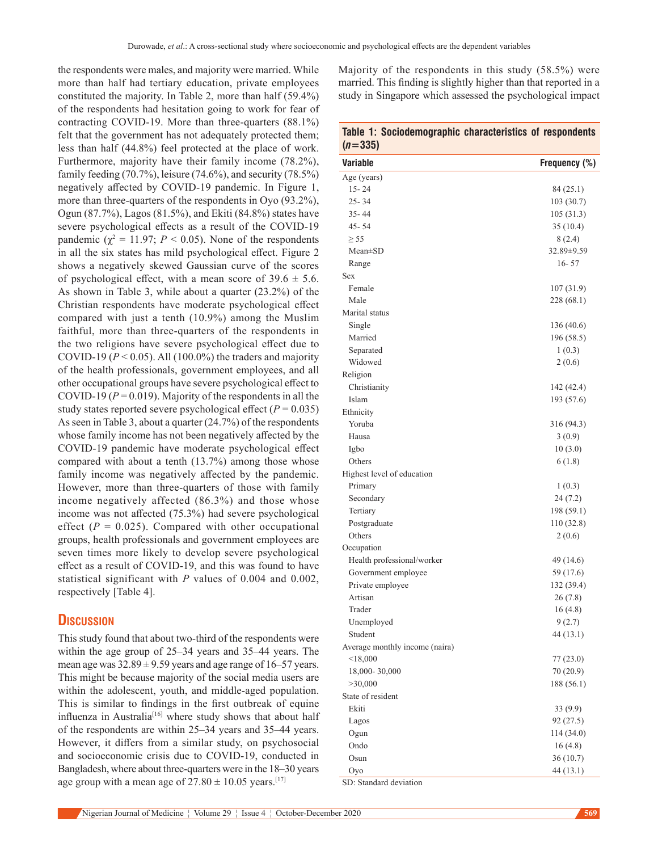the respondents were males, and majority were married. While more than half had tertiary education, private employees constituted the majority. In Table 2, more than half (59.4%) of the respondents had hesitation going to work for fear of contracting COVID-19. More than three-quarters (88.1%) felt that the government has not adequately protected them; less than half (44.8%) feel protected at the place of work. Furthermore, majority have their family income (78.2%), family feeding  $(70.7\%)$ , leisure  $(74.6\%)$ , and security  $(78.5\%)$ negatively affected by COVID-19 pandemic. In Figure 1, more than three-quarters of the respondents in Oyo (93.2%), Ogun (87.7%), Lagos (81.5%), and Ekiti (84.8%) states have severe psychological effects as a result of the COVID-19 pandemic ( $\chi^2 = 11.97$ ;  $P < 0.05$ ). None of the respondents in all the six states has mild psychological effect. Figure 2 shows a negatively skewed Gaussian curve of the scores of psychological effect, with a mean score of  $39.6 \pm 5.6$ . As shown in Table 3, while about a quarter (23.2%) of the Christian respondents have moderate psychological effect compared with just a tenth (10.9%) among the Muslim faithful, more than three-quarters of the respondents in the two religions have severe psychological effect due to COVID-19 ( $P < 0.05$ ). All (100.0%) the traders and majority of the health professionals, government employees, and all other occupational groups have severe psychological effect to COVID-19 ( $P = 0.019$ ). Majority of the respondents in all the study states reported severe psychological effect ( $P = 0.035$ ) As seen in Table 3, about a quarter (24.7%) of the respondents whose family income has not been negatively affected by the COVID‑19 pandemic have moderate psychological effect compared with about a tenth (13.7%) among those whose family income was negatively affected by the pandemic. However, more than three‑quarters of those with family income negatively affected (86.3%) and those whose income was not affected (75.3%) had severe psychological effect  $(P = 0.025)$ . Compared with other occupational groups, health professionals and government employees are seven times more likely to develop severe psychological effect as a result of COVID‑19, and this was found to have statistical significant with *P* values of 0.004 and 0.002, respectively [Table 4].

# **Discussion**

This study found that about two-third of the respondents were within the age group of 25–34 years and 35–44 years. The mean age was  $32.89 \pm 9.59$  years and age range of 16–57 years. This might be because majority of the social media users are within the adolescent, youth, and middle‑aged population. This is similar to findings in the first outbreak of equine influenza in Australia<sup>[16]</sup> where study shows that about half of the respondents are within 25–34 years and 35–44 years. However, it differs from a similar study, on psychosocial and socioeconomic crisis due to COVID-19, conducted in Bangladesh, where about three‑quarters were in the 18–30 years age group with a mean age of  $27.80 \pm 10.05$  years.<sup>[17]</sup>

Majority of the respondents in this study (58.5%) were married. This finding is slightly higher than that reported in a study in Singapore which assessed the psychological impact

| $(n=335)$ |
|-----------|
|-----------|

| w -<br>-oovj                   |               |
|--------------------------------|---------------|
| Variable                       | Frequency (%) |
| Age (years)                    |               |
| $15 - 24$                      | 84 (25.1)     |
| $25 - 34$                      | 103 (30.7)    |
| 35-44                          | 105(31.3)     |
| 45 - 54                        | 35(10.4)      |
| $\geq$ 55                      | 8(2.4)        |
| $Mean \pm SD$                  | 32.89±9.59    |
| Range                          | $16 - 57$     |
| Sex                            |               |
| Female                         | 107(31.9)     |
| Male                           | 228 (68.1)    |
| Marital status                 |               |
| Single                         | 136 (40.6)    |
| Married                        | 196 (58.5)    |
| Separated                      | 1(0.3)        |
| Widowed                        | 2(0.6)        |
| Religion                       |               |
| Christianity                   | 142 (42.4)    |
| Islam                          | 193 (57.6)    |
| Ethnicity                      |               |
| Yoruba                         | 316 (94.3)    |
| Hausa                          | 3(0.9)        |
| Igbo                           | 10(3.0)       |
| Others                         | 6(1.8)        |
| Highest level of education     |               |
| Primary                        | 1(0.3)        |
| Secondary                      | 24 (7.2)      |
| Tertiary                       | 198 (59.1)    |
| Postgraduate                   | 110 (32.8)    |
| Others                         | 2(0.6)        |
| Occupation                     |               |
| Health professional/worker     | 49 (14.6)     |
| Government employee            | 59 (17.6)     |
| Private employee               | 132 (39.4)    |
| Artisan                        | 26(7.8)       |
| Trader                         | 16(4.8)       |
| Unemployed                     | 9(2.7)        |
| Student                        | 44 (13.1)     |
| Average monthly income (naira) |               |
| $<$ 18,000                     | 77 (23.0)     |
| 18,000-30,000                  | 70(20.9)      |
| >30,000                        | 188 (56.1)    |
| State of resident              |               |
| Ekiti                          | 33(9.9)       |
| Lagos                          | 92(27.5)      |
| Ogun                           | 114 (34.0)    |
| Ondo                           | 16(4.8)       |
| Osun                           | 36(10.7)      |
| Oyo<br>SD: Standard deviation  | 44 (13.1)     |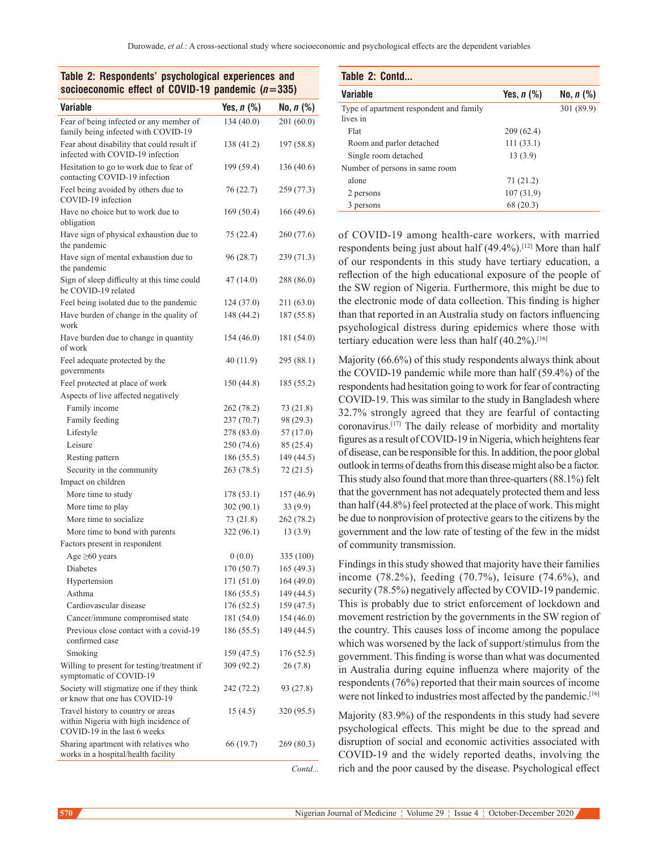| Table 2: Respondents' psychological experiences and |  |  |
|-----------------------------------------------------|--|--|
| socioeconomic effect of COVID-19 pandemic $(n=335)$ |  |  |

| <b>Variable</b>                                                                                             | Yes, $n$ $%$ | No, <i>n</i> (%) |
|-------------------------------------------------------------------------------------------------------------|--------------|------------------|
| Fear of being infected or any member of                                                                     | 134(40.0)    | 201 (60.0)       |
| family being infected with COVID-19                                                                         |              |                  |
| Fear about disability that could result if<br>infected with COVID-19 infection                              | 138 (41.2)   | 197 (58.8)       |
| Hesitation to go to work due to fear of<br>contacting COVID-19 infection                                    | 199 (59.4)   | 136 (40.6)       |
| Feel being avoided by others due to<br>COVID-19 infection                                                   | 76(22.7)     | 259 (77.3)       |
| Have no choice but to work due to<br>obligation                                                             | 169 (50.4)   | 166 (49.6)       |
| Have sign of physical exhaustion due to<br>the pandemic                                                     | 75 (22.4)    | 260 (77.6)       |
| Have sign of mental exhaustion due to<br>the pandemic                                                       | 96 (28.7)    | 239 (71.3)       |
| Sign of sleep difficulty at this time could<br>be COVID-19 related                                          | 47 (14.0)    | 288 (86.0)       |
| Feel being isolated due to the pandemic                                                                     | 124 (37.0)   | 211 (63.0)       |
| Have burden of change in the quality of                                                                     | 148 (44.2)   | 187 (55.8)       |
| work                                                                                                        |              |                  |
| Have burden due to change in quantity<br>of work                                                            | 154 (46.0)   | 181 (54.0)       |
| Feel adequate protected by the<br>governments                                                               | 40 (11.9)    | 295 (88.1)       |
| Feel protected at place of work                                                                             | 150 (44.8)   | 185 (55.2)       |
| Aspects of live affected negatively                                                                         |              |                  |
| Family income                                                                                               | 262 (78.2)   | 73 (21.8)        |
| Family feeding                                                                                              | 237(70.7)    | 98 (29.3)        |
| Lifestyle                                                                                                   | 278 (83.0)   | 57 (17.0)        |
| Leisure                                                                                                     | 250 (74.6)   | 85 (25.4)        |
| Resting pattern                                                                                             | 186(55.5)    | 149 (44.5)       |
| Security in the community                                                                                   | 263 (78.5)   | 72(21.5)         |
| Impact on children                                                                                          |              |                  |
| More time to study                                                                                          | 178 (53.1)   | 157 (46.9)       |
| More time to play                                                                                           | 302(90.1)    | 33 (9.9)         |
| More time to socialize                                                                                      | 73(21.8)     | 262 (78.2)       |
| More time to bond with parents                                                                              | 322 (96.1)   | 13(3.9)          |
| Factors present in respondent                                                                               |              |                  |
| Age $\geq 60$ years                                                                                         | 0(0.0)       | 335 (100)        |
| Diabetes                                                                                                    | 170 (50.7)   | 165 (49.3)       |
| Hypertension                                                                                                | 171 (51.0)   | 164 (49.0)       |
| Asthma                                                                                                      | 186 (55.5)   | 149 (44.5)       |
| Cardiovascular disease                                                                                      | 176(52.5)    | 159 (47.5)       |
| Cancer/immune compromised state                                                                             | 181 (54.0)   | 154 (46.0)       |
| Previous close contact with a covid-19                                                                      | 186(55.5)    | 149 (44.5)       |
| confirmed case                                                                                              |              |                  |
| Smoking                                                                                                     | 159 (47.5)   | 176 (52.5)       |
| Willing to present for testing/treatment if<br>symptomatic of COVID-19                                      | 309 (92.2)   | 26 (7.8)         |
| Society will stigmatize one if they think<br>or know that one has COVID-19                                  | 242 (72.2)   | 93 (27.8)        |
| Travel history to country or areas<br>within Nigeria with high incidence of<br>COVID-19 in the last 6 weeks | 15(4.5)      | 320 (95.5)       |
| Sharing apartment with relatives who<br>works in a hospital/health facility                                 | 66 (19.7)    | 269 (80.3)       |
|                                                                                                             |              | Contd            |

| Table 2: Respondents' psychological experiences and<br>socioeconomic effect of COVID-19 pandemic $(n=335)$ |                   |                 | Table 2: Contd                          |             |           |  |
|------------------------------------------------------------------------------------------------------------|-------------------|-----------------|-----------------------------------------|-------------|-----------|--|
|                                                                                                            |                   | <b>Variable</b> | Yes, $n$ (%)                            | No, $n$ (%) |           |  |
| Variable                                                                                                   | Yes, <i>n</i> (%) | No, $n$ (%)     | Type of apartment respondent and family |             | 301(89.9) |  |
| Fear of being infected or any member of                                                                    | 134(40.0)         | 201(60.0)       | lives in                                |             |           |  |
| family being infected with COVID-19                                                                        |                   |                 | Flat                                    | 209(62.4)   |           |  |
| Fear about disability that could result if                                                                 | 138 (41.2)        | 197(58.8)       | Room and parlor detached                | 111(33.1)   |           |  |
| infected with COVID-19 infection                                                                           |                   |                 | Single room detached                    | 13(3.9)     |           |  |
| Hesitation to go to work due to fear of                                                                    | 199 (59.4)        | 136(40.6)       | Number of persons in same room          |             |           |  |
| contacting COVID-19 infection                                                                              |                   |                 | alone                                   | 71 (21.2)   |           |  |
| Feel being avoided by others due to                                                                        | 76(22.7)          | 259(77.3)       | 2 persons                               | 107(31.9)   |           |  |
| COVID-19 infection                                                                                         | 1707701           | 177100          | 3 persons                               | 68 (20.3)   |           |  |

of COVID-19 among health-care workers, with married respondents being just about half (49.4%).<sup>[12]</sup> More than half of our respondents in this study have tertiary education, a reflection of the high educational exposure of the people of the SW region of Nigeria. Furthermore, this might be due to the electronic mode of data collection. This finding is higher than that reported in an Australia study on factors influencing psychological distress during epidemics where those with tertiary education were less than half  $(40.2\%)$ .<sup>[16]</sup>

Majority (66.6%) of this study respondents always think about the COVID-19 pandemic while more than half (59.4%) of the respondents had hesitation going to work for fear of contracting COVID‑19. This was similar to the study in Bangladesh where 32.7% strongly agreed that they are fearful of contacting coronavirus.[17] The daily release of morbidity and mortality figures as a result of COVID‑19 in Nigeria, which heightens fear of disease, can be responsible for this. In addition, the poor global outlook in terms of deaths from this disease might also be a factor. This study also found that more than three-quarters (88.1%) felt that the government has not adequately protected them and less than half(44.8%) feel protected at the place of work. This might be due to nonprovision of protective gears to the citizens by the government and the low rate of testing of the few in the midst of community transmission.

Findings in this study showed that majority have their families income (78.2%), feeding (70.7%), leisure (74.6%), and security (78.5%) negatively affected by COVID-19 pandemic. This is probably due to strict enforcement of lockdown and movement restriction by the governments in the SW region of the country. This causes loss of income among the populace which was worsened by the lack of support/stimulus from the government. This finding is worse than what was documented in Australia during equine influenza where majority of the respondents (76%) reported that their main sources of income were not linked to industries most affected by the pandemic.<sup>[16]</sup>

Majority (83.9%) of the respondents in this study had severe psychological effects. This might be due to the spread and disruption of social and economic activities associated with COVID‑19 and the widely reported deaths, involving the rich and the poor caused by the disease. Psychological effect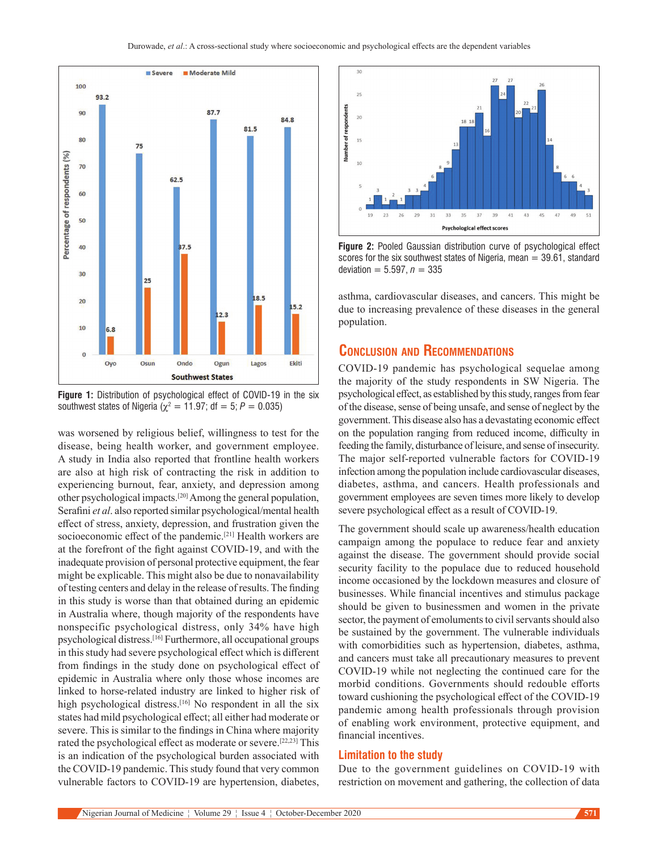

**Figure 1:** Distribution of psychological effect of COVID-19 in the six southwest states of Nigeria ( $\chi^2 = 11.97$ ; df = 5; P = 0.035)

was worsened by religious belief, willingness to test for the disease, being health worker, and government employee. A study in India also reported that frontline health workers are also at high risk of contracting the risk in addition to experiencing burnout, fear, anxiety, and depression among other psychological impacts.[20] Among the general population, Serafini *et al*. also reported similar psychological/mental health effect of stress, anxiety, depression, and frustration given the socioeconomic effect of the pandemic.<sup>[21]</sup> Health workers are at the forefront of the fight against COVID‑19, and with the inadequate provision of personal protective equipment, the fear might be explicable. This might also be due to nonavailability of testing centers and delay in the release of results. The finding in this study is worse than that obtained during an epidemic in Australia where, though majority of the respondents have nonspecific psychological distress, only 34% have high psychological distress.[16] Furthermore, all occupational groups in this study had severe psychological effect which is different from findings in the study done on psychological effect of epidemic in Australia where only those whose incomes are linked to horse‑related industry are linked to higher risk of high psychological distress.<sup>[16]</sup> No respondent in all the six states had mild psychological effect; all either had moderate or severe. This is similar to the findings in China where majority rated the psychological effect as moderate or severe.[22,23] This is an indication of the psychological burden associated with the COVID-19 pandemic. This study found that very common vulnerable factors to COVID-19 are hypertension, diabetes,



**Figure 2:** Pooled Gaussian distribution curve of psychological effect scores for the six southwest states of Nigeria, mean  $=$  39.61, standard deviation =  $5.597, n = 335$ 

asthma, cardiovascular diseases, and cancers. This might be due to increasing prevalence of these diseases in the general population.

# **Conclusion and Recommendations**

COVID‑19 pandemic has psychological sequelae among the majority of the study respondents in SW Nigeria. The psychological effect, as established by this study, ranges from fear of the disease, sense of being unsafe, and sense of neglect by the government. This disease also has a devastating economic effect on the population ranging from reduced income, difficulty in feeding the family, disturbance of leisure, and sense of insecurity. The major self-reported vulnerable factors for COVID-19 infection among the population include cardiovascular diseases, diabetes, asthma, and cancers. Health professionals and government employees are seven times more likely to develop severe psychological effect as a result of COVID-19.

The government should scale up awareness/health education campaign among the populace to reduce fear and anxiety against the disease. The government should provide social security facility to the populace due to reduced household income occasioned by the lockdown measures and closure of businesses. While financial incentives and stimulus package should be given to businessmen and women in the private sector, the payment of emoluments to civil servants should also be sustained by the government. The vulnerable individuals with comorbidities such as hypertension, diabetes, asthma, and cancers must take all precautionary measures to prevent COVID-19 while not neglecting the continued care for the morbid conditions. Governments should redouble efforts toward cushioning the psychological effect of the COVID-19 pandemic among health professionals through provision of enabling work environment, protective equipment, and financial incentives.

## **Limitation to the study**

Due to the government guidelines on COVID-19 with restriction on movement and gathering, the collection of data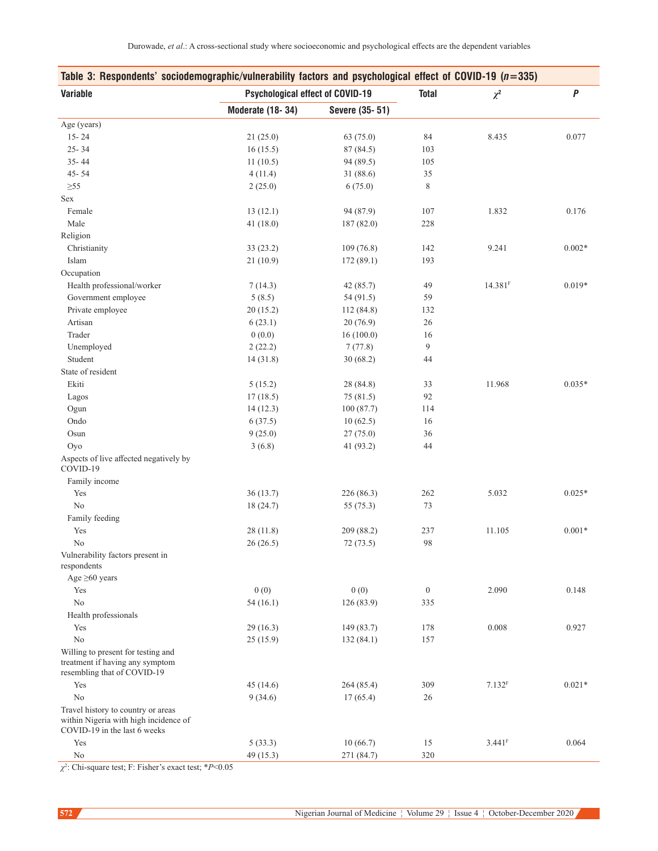| Table 3: Respondents' sociodemographic/vulnerability factors and psychological effect of COVID-19 ( $n=335$ ) |                                         |                |                |                      |          |
|---------------------------------------------------------------------------------------------------------------|-----------------------------------------|----------------|----------------|----------------------|----------|
| <b>Variable</b>                                                                                               | <b>Psychological effect of COVID-19</b> |                | <b>Total</b>   | $\chi^2$             | P        |
|                                                                                                               | <b>Moderate (18-34)</b>                 | Severe (35-51) |                |                      |          |
| Age (years)                                                                                                   |                                         |                |                |                      |          |
| $15 - 24$                                                                                                     | 21(25.0)                                | 63 (75.0)      | 84             | 8.435                | 0.077    |
| $25 - 34$                                                                                                     | 16(15.5)                                | 87 (84.5)      | 103            |                      |          |
| $35 - 44$                                                                                                     | 11(10.5)                                | 94 (89.5)      | 105            |                      |          |
| $45 - 54$                                                                                                     | 4(11.4)                                 | 31 (88.6)      | 35             |                      |          |
| $\geq 55$                                                                                                     | 2(25.0)                                 | 6(75.0)        | 8              |                      |          |
| <b>Sex</b>                                                                                                    |                                         |                |                |                      |          |
| Female                                                                                                        | 13(12.1)                                | 94 (87.9)      | 107            | 1.832                | 0.176    |
| Male                                                                                                          | 41(18.0)                                | 187 (82.0)     | 228            |                      |          |
| Religion                                                                                                      |                                         |                |                |                      |          |
| Christianity                                                                                                  | 33(23.2)                                | 109(76.8)      | 142            | 9.241                | $0.002*$ |
| Islam                                                                                                         | 21(10.9)                                | 172 (89.1)     | 193            |                      |          |
| Occupation                                                                                                    |                                         |                |                |                      |          |
| Health professional/worker                                                                                    | 7(14.3)                                 | 42(85.7)       | 49             | 14.381 <sup>F</sup>  | $0.019*$ |
| Government employee                                                                                           | 5(8.5)                                  | 54 (91.5)      | 59             |                      |          |
| Private employee                                                                                              | 20(15.2)                                | 112 (84.8)     | 132            |                      |          |
| Artisan                                                                                                       | 6(23.1)                                 | 20(76.9)       | 26             |                      |          |
| Trader                                                                                                        | 0(0.0)                                  | 16(100.0)      | 16             |                      |          |
| Unemployed                                                                                                    | 2(22.2)                                 | 7(77.8)        | 9              |                      |          |
| Student                                                                                                       | 14(31.8)                                | 30(68.2)       | 44             |                      |          |
| State of resident                                                                                             |                                         |                |                |                      |          |
| Ekiti                                                                                                         | 5(15.2)                                 | 28 (84.8)      | 33             | 11.968               | $0.035*$ |
| Lagos                                                                                                         | 17(18.5)                                | 75 (81.5)      | 92             |                      |          |
| Ogun                                                                                                          | 14(12.3)                                | 100(87.7)      | 114            |                      |          |
| Ondo                                                                                                          | 6(37.5)                                 | 10(62.5)       | 16             |                      |          |
| Osun                                                                                                          | 9(25.0)                                 | 27(75.0)       | 36             |                      |          |
| Oyo                                                                                                           | 3(6.8)                                  | 41 (93.2)      | 44             |                      |          |
| Aspects of live affected negatively by<br>COVID-19                                                            |                                         |                |                |                      |          |
| Family income                                                                                                 |                                         |                |                |                      |          |
| Yes                                                                                                           | 36(13.7)                                | 226 (86.3)     | 262            | 5.032                | $0.025*$ |
| No                                                                                                            | 18 (24.7)                               | 55 (75.3)      | 73             |                      |          |
| Family feeding                                                                                                |                                         |                |                |                      |          |
| Yes                                                                                                           | 28(11.8)                                | 209 (88.2)     | 237            | 11.105               | $0.001*$ |
| No                                                                                                            | 26(26.5)                                | 72 (73.5)      | 98             |                      |          |
| Vulnerability factors present in<br>respondents                                                               |                                         |                |                |                      |          |
| Age $\geq 60$ years                                                                                           |                                         |                |                |                      |          |
| Yes                                                                                                           | 0(0)                                    | 0(0)           | $\overline{0}$ | 2.090                | 0.148    |
| N <sub>o</sub>                                                                                                | 54(16.1)                                | 126(83.9)      | 335            |                      |          |
| Health professionals                                                                                          |                                         |                |                |                      |          |
| Yes                                                                                                           | 29(16.3)                                | 149 (83.7)     | 178            | 0.008                | 0.927    |
| No                                                                                                            | 25(15.9)                                | 132(84.1)      | 157            |                      |          |
| Willing to present for testing and<br>treatment if having any symptom<br>resembling that of COVID-19          |                                         |                |                |                      |          |
| Yes                                                                                                           | 45(14.6)                                | 264 (85.4)     | 309            | 7.132 <sup>F</sup>   | $0.021*$ |
| No                                                                                                            | 9(34.6)                                 | 17(65.4)       | 26             |                      |          |
| Travel history to country or areas<br>within Nigeria with high incidence of<br>COVID-19 in the last 6 weeks   |                                         |                |                |                      |          |
| Yes                                                                                                           | 5(33.3)                                 | 10(66.7)       | 15             | $3.441$ <sup>F</sup> | 0.064    |
| No                                                                                                            | 49 (15.3)                               | 271 (84.7)     | 320            |                      |          |

*χ*2 : Chi-square test; F: Fisher's exact test; \**P*<0.05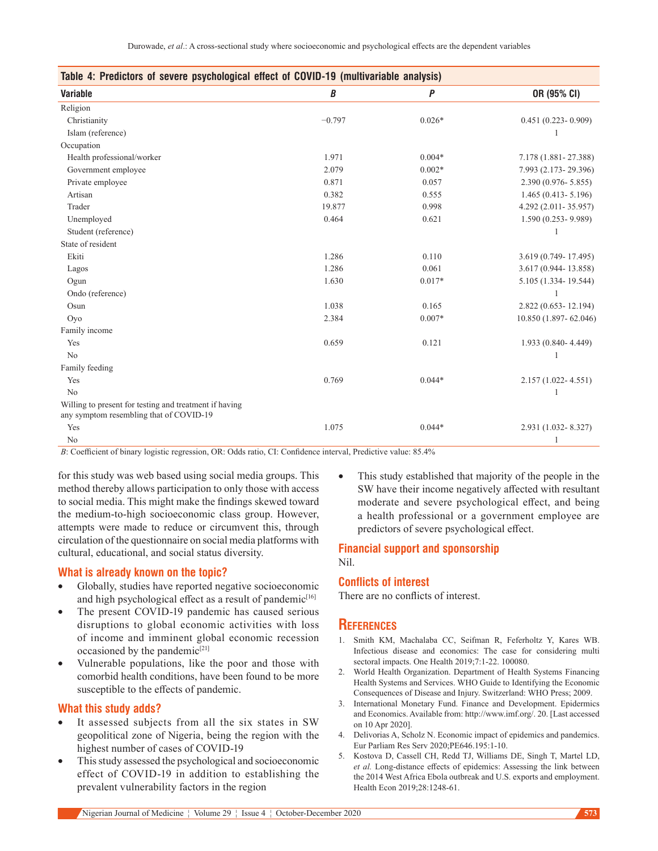| Table 4: Predictors of severe psychological effect of COVID-19 (multivariable analysis)           |          |          |                        |  |
|---------------------------------------------------------------------------------------------------|----------|----------|------------------------|--|
| <b>Variable</b>                                                                                   | B        | P        | OR (95% CI)            |  |
| Religion                                                                                          |          |          |                        |  |
| Christianity                                                                                      | $-0.797$ | $0.026*$ | $0.451(0.223 - 0.909)$ |  |
| Islam (reference)                                                                                 |          |          |                        |  |
| Occupation                                                                                        |          |          |                        |  |
| Health professional/worker                                                                        | 1.971    | $0.004*$ | 7.178 (1.881 - 27.388) |  |
| Government employee                                                                               | 2.079    | $0.002*$ | 7.993 (2.173-29.396)   |  |
| Private employee                                                                                  | 0.871    | 0.057    | 2.390 (0.976-5.855)    |  |
| Artisan                                                                                           | 0.382    | 0.555    | $1.465(0.413 - 5.196)$ |  |
| Trader                                                                                            | 19.877   | 0.998    | 4.292 (2.011-35.957)   |  |
| Unemployed                                                                                        | 0.464    | 0.621    | $1.590(0.253 - 9.989)$ |  |
| Student (reference)                                                                               |          |          |                        |  |
| State of resident                                                                                 |          |          |                        |  |
| Ekiti                                                                                             | 1.286    | 0.110    | 3.619 (0.749-17.495)   |  |
| Lagos                                                                                             | 1.286    | 0.061    | 3.617 (0.944-13.858)   |  |
| Ogun                                                                                              | 1.630    | $0.017*$ | 5.105 (1.334-19.544)   |  |
| Ondo (reference)                                                                                  |          |          |                        |  |
| Osun                                                                                              | 1.038    | 0.165    | 2.822 (0.653-12.194)   |  |
| Oyo                                                                                               | 2.384    | $0.007*$ | 10.850 (1.897-62.046)  |  |
| Family income                                                                                     |          |          |                        |  |
| Yes                                                                                               | 0.659    | 0.121    | 1.933 (0.840-4.449)    |  |
| No                                                                                                |          |          |                        |  |
| Family feeding                                                                                    |          |          |                        |  |
| Yes                                                                                               | 0.769    | $0.044*$ | $2.157(1.022 - 4.551)$ |  |
| N <sub>o</sub>                                                                                    |          |          |                        |  |
| Willing to present for testing and treatment if having<br>any symptom resembling that of COVID-19 |          |          |                        |  |
| Yes                                                                                               | 1.075    | $0.044*$ | 2.931 (1.032-8.327)    |  |
| No                                                                                                |          |          | 1                      |  |

*B*: Coefficient of binary logistic regression, OR: Odds ratio, CI: Confidence interval, Predictive value: 85.4%

for this study was web based using social media groups. This method thereby allows participation to only those with access to social media. This might make the findings skewed toward the medium-to-high socioeconomic class group. However, attempts were made to reduce or circumvent this, through circulation of the questionnaire on social media platforms with cultural, educational, and social status diversity.

### **What is already known on the topic?**

- Globally, studies have reported negative socioeconomic and high psychological effect as a result of pandemic<sup>[16]</sup>
- The present COVID-19 pandemic has caused serious disruptions to global economic activities with loss of income and imminent global economic recession occasioned by the pandemic<sup>[21]</sup>
- Vulnerable populations, like the poor and those with comorbid health conditions, have been found to be more susceptible to the effects of pandemic.

#### **What this study adds?**

- It assessed subjects from all the six states in SW geopolitical zone of Nigeria, being the region with the highest number of cases of COVID-19
- This study assessed the psychological and socioeconomic effect of COVID-19 in addition to establishing the prevalent vulnerability factors in the region

This study established that majority of the people in the SW have their income negatively affected with resultant moderate and severe psychological effect, and being a health professional or a government employee are predictors of severe psychological effect.

#### **Financial support and sponsorship** Nil.

#### **Conflicts of interest**

There are no conflicts of interest.

#### **References**

- 1. Smith KM, Machalaba CC, Seifman R, Feferholtz Y, Kares WB. Infectious disease and economics: The case for considering multi sectoral impacts. One Health 2019;7:1-22. 100080.
- 2. World Health Organization. Department of Health Systems Financing Health Systems and Services. WHO Guide to Identifying the Economic Consequences of Disease and Injury. Switzerland: WHO Press; 2009.
- 3. International Monetary Fund. Finance and Development. Epidermics and Economics. Available from: http://www.imf.org/. 20. [Last accessed on 10 Apr 2020].
- 4. Delivorias A, Scholz N. Economic impact of epidemics and pandemics. Eur Parliam Res Serv 2020;PE646.195:1‑10.
- 5. Kostova D, Cassell CH, Redd TJ, Williams DE, Singh T, Martel LD, *et al.* Long‑distance effects of epidemics: Assessing the link between the 2014 West Africa Ebola outbreak and U.S. exports and employment. Health Econ 2019;28:1248-61.